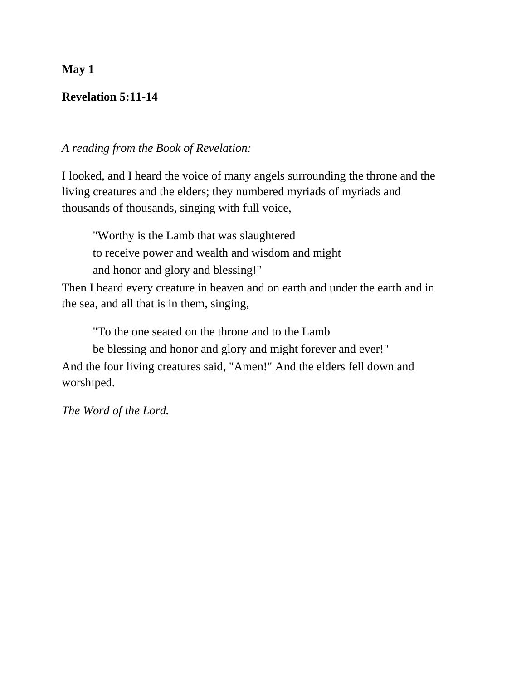# **Revelation 5:11-14**

## *A reading from the Book of Revelation:*

I looked, and I heard the voice of many angels surrounding the throne and the living creatures and the elders; they numbered myriads of myriads and thousands of thousands, singing with full voice,

"Worthy is the Lamb that was slaughtered to receive power and wealth and wisdom and might and honor and glory and blessing!"

Then I heard every creature in heaven and on earth and under the earth and in the sea, and all that is in them, singing,

"To the one seated on the throne and to the Lamb

be blessing and honor and glory and might forever and ever!"

And the four living creatures said, "Amen!" And the elders fell down and worshiped.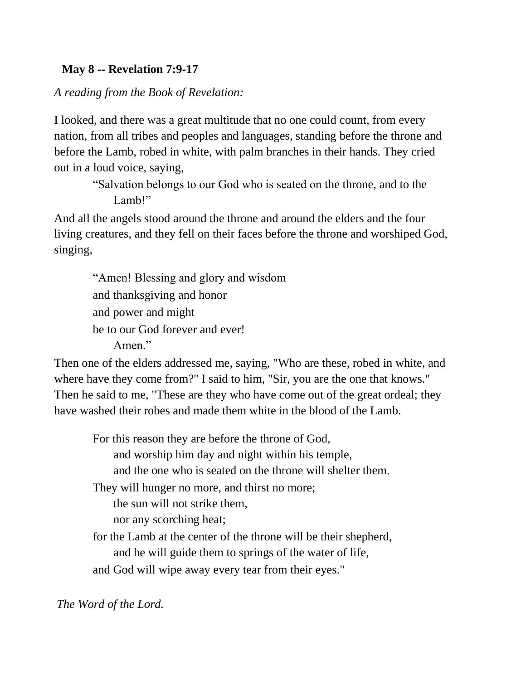# **May 8 -- Revelation 7:9-17**

*A reading from the Book of Revelation:* 

I looked, and there was a great multitude that no one could count, from every nation, from all tribes and peoples and languages, standing before the throne and before the Lamb, robed in white, with palm branches in their hands. They cried out in a loud voice, saying,

"Salvation belongs to our God who is seated on the throne, and to the Lamb!"

And all the angels stood around the throne and around the elders and the four living creatures, and they fell on their faces before the throne and worshiped God, singing,

"Amen! Blessing and glory and wisdom and thanksgiving and honor and power and might be to our God forever and ever! Amen."

Then one of the elders addressed me, saying, "Who are these, robed in white, and where have they come from?" I said to him, "Sir, you are the one that knows." Then he said to me, "These are they who have come out of the great ordeal; they have washed their robes and made them white in the blood of the Lamb.

For this reason they are before the throne of God, and worship him day and night within his temple, and the one who is seated on the throne will shelter them. They will hunger no more, and thirst no more; the sun will not strike them, nor any scorching heat; for the Lamb at the center of the throne will be their shepherd, and he will guide them to springs of the water of life, and God will wipe away every tear from their eyes."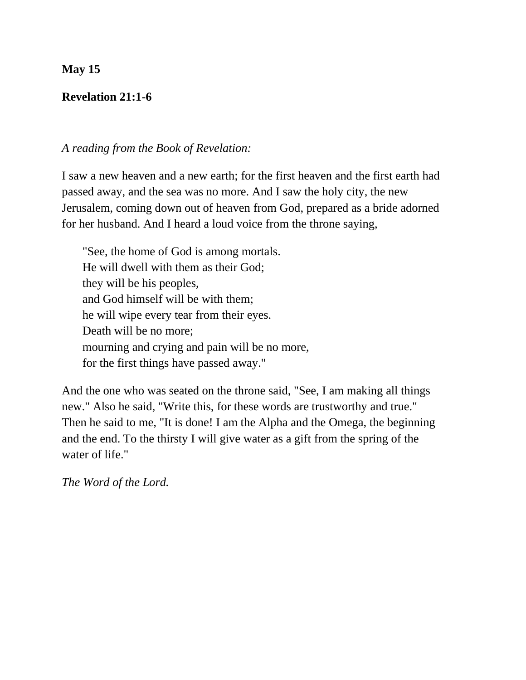## **Revelation 21:1-6**

## *A reading from the Book of Revelation:*

I saw a new heaven and a new earth; for the first heaven and the first earth had passed away, and the sea was no more. And I saw the holy city, the new Jerusalem, coming down out of heaven from God, prepared as a bride adorned for her husband. And I heard a loud voice from the throne saying,

"See, the home of God is among mortals. He will dwell with them as their God; they will be his peoples, and God himself will be with them; he will wipe every tear from their eyes. Death will be no more; mourning and crying and pain will be no more, for the first things have passed away."

And the one who was seated on the throne said, "See, I am making all things new." Also he said, "Write this, for these words are trustworthy and true." Then he said to me, "It is done! I am the Alpha and the Omega, the beginning and the end. To the thirsty I will give water as a gift from the spring of the water of life."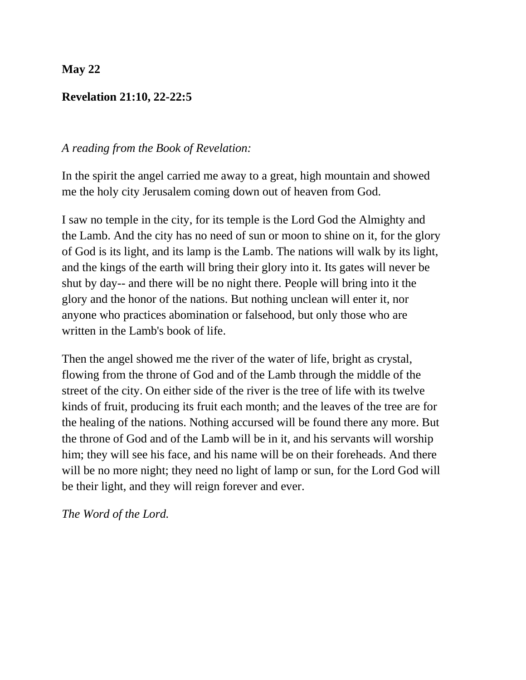## **Revelation 21:10, 22-22:5**

### *A reading from the Book of Revelation:*

In the spirit the angel carried me away to a great, high mountain and showed me the holy city Jerusalem coming down out of heaven from God.

I saw no temple in the city, for its temple is the Lord God the Almighty and the Lamb. And the city has no need of sun or moon to shine on it, for the glory of God is its light, and its lamp is the Lamb. The nations will walk by its light, and the kings of the earth will bring their glory into it. Its gates will never be shut by day-- and there will be no night there. People will bring into it the glory and the honor of the nations. But nothing unclean will enter it, nor anyone who practices abomination or falsehood, but only those who are written in the Lamb's book of life.

Then the angel showed me the river of the water of life, bright as crystal, flowing from the throne of God and of the Lamb through the middle of the street of the city. On either side of the river is the tree of life with its twelve kinds of fruit, producing its fruit each month; and the leaves of the tree are for the healing of the nations. Nothing accursed will be found there any more. But the throne of God and of the Lamb will be in it, and his servants will worship him; they will see his face, and his name will be on their foreheads. And there will be no more night; they need no light of lamp or sun, for the Lord God will be their light, and they will reign forever and ever.